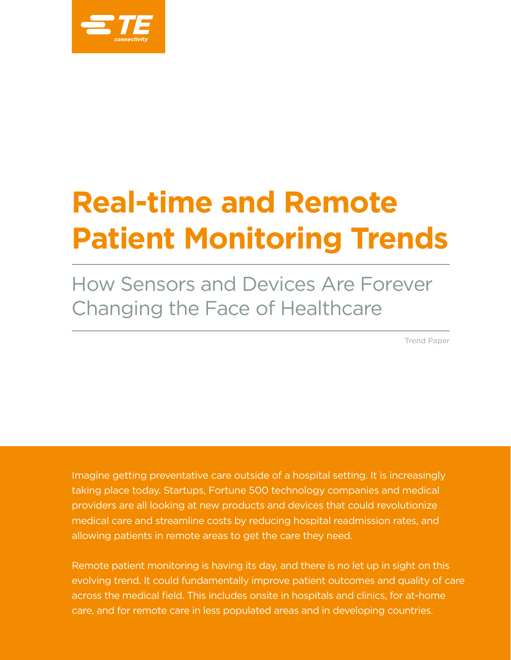

# **Real-time and Remote Patient Monitoring Trends**

How Sensors and Devices Are Forever Changing the Face of Healthcare

Trend Paper

Imagine getting preventative care outside of a hospital setting. It is increasingly taking place today. Startups, Fortune 500 technology companies and medical providers are all looking at new products and devices that could revolutionize medical care and streamline costs by reducing hospital readmission rates, and allowing patients in remote areas to get the care they need.

Remote patient monitoring is having its day, and there is no let up in sight on this evolving trend. It could fundamentally improve patient outcomes and quality of care across the medical field. This includes onsite in hospitals and clinics, for at-home care, and for remote care in less populated areas and in developing countries.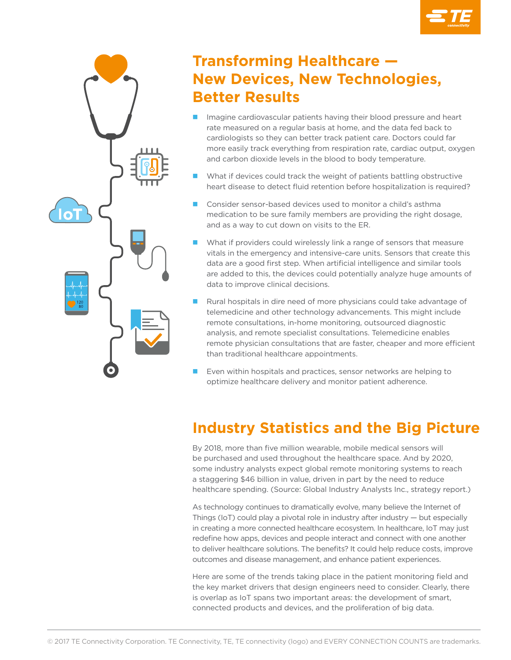



# **Transforming Healthcare — New Devices, New Technologies, Better Results**

- Imagine cardiovascular patients having their blood pressure and heart rate measured on a regular basis at home, and the data fed back to cardiologists so they can better track patient care. Doctors could far more easily track everything from respiration rate, cardiac output, oxygen and carbon dioxide levels in the blood to body temperature.
- What if devices could track the weight of patients battling obstructive heart disease to detect fluid retention before hospitalization is required?
- n Consider sensor-based devices used to monitor a child's asthma medication to be sure family members are providing the right dosage, and as a way to cut down on visits to the ER.
- What if providers could wirelessly link a range of sensors that measure vitals in the emergency and intensive-care units. Sensors that create this data are a good first step. When artificial intelligence and similar tools are added to this, the devices could potentially analyze huge amounts of data to improve clinical decisions.
- Rural hospitals in dire need of more physicians could take advantage of telemedicine and other technology advancements. This might include remote consultations, in-home monitoring, outsourced diagnostic analysis, and remote specialist consultations. Telemedicine enables remote physician consultations that are faster, cheaper and more efficient than traditional healthcare appointments.
- Even within hospitals and practices, sensor networks are helping to optimize healthcare delivery and monitor patient adherence.

# **Industry Statistics and the Big Picture**

By 2018, more than five million wearable, mobile medical sensors will be purchased and used throughout the healthcare space. And by 2020, some industry analysts expect global remote monitoring systems to reach a staggering \$46 billion in value, driven in part by the need to reduce healthcare spending. (Source: Global Industry Analysts Inc., strategy report.)

As technology continues to dramatically evolve, many believe the Internet of Things (IoT) could play a pivotal role in industry after industry  $-$  but especially in creating a more connected healthcare ecosystem. In healthcare, IoT may just redefine how apps, devices and people interact and connect with one another to deliver healthcare solutions. The benefits? It could help reduce costs, improve outcomes and disease management, and enhance patient experiences.

Here are some of the trends taking place in the patient monitoring field and the key market drivers that design engineers need to consider. Clearly, there is overlap as IoT spans two important areas: the development of smart, connected products and devices, and the proliferation of big data.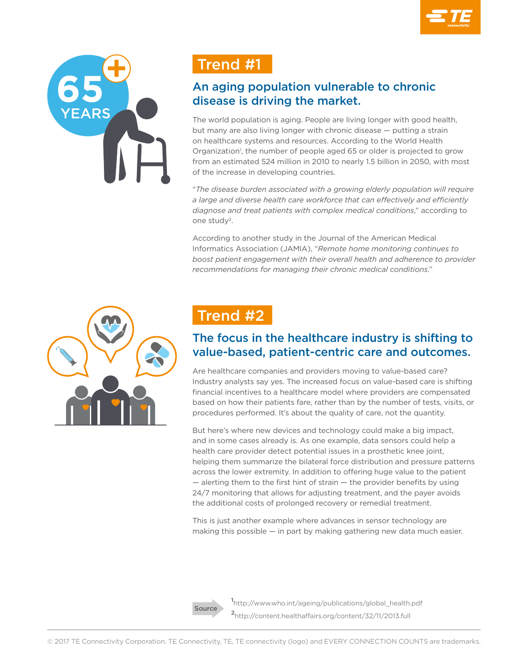

# Trend #1

#### An aging population vulnerable to chronic disease is driving the market.

The world population is aging. People are living longer with good health, but many are also living longer with chronic disease — putting a strain on healthcare systems and resources. According to the World Health Organization<sup>1</sup>, the number of people aged 65 or older is projected to grow from an estimated 524 million in 2010 to nearly 1.5 billion in 2050, with most of the increase in developing countries.

"*The disease burden associated with a growing elderly population will require a large and diverse health care workforce that can effectively and efficiently diagnose and treat patients with complex medical conditions*," according to one study2.

According to another study in the Journal of the American Medical Informatics Association (JAMIA), "*Remote home monitoring continues to boost patient engagement with their overall health and adherence to provider recommendations for managing their chronic medical conditions*."



# Trend #2

### The focus in the healthcare industry is shifting to value-based, patient-centric care and outcomes.

Are healthcare companies and providers moving to value-based care? Industry analysts say yes. The increased focus on value-based care is shifting financial incentives to a healthcare model where providers are compensated based on how their patients fare, rather than by the number of tests, visits, or procedures performed. It's about the quality of care, not the quantity.

But here's where new devices and technology could make a big impact, and in some cases already is. As one example, data sensors could help a health care provider detect potential issues in a prosthetic knee joint, helping them summarize the bilateral force distribution and pressure patterns across the lower extremity. In addition to offering huge value to the patient  $-$  alerting them to the first hint of strain  $-$  the provider benefits by using 24/7 monitoring that allows for adjusting treatment, and the payer avoids the additional costs of prolonged recovery or remedial treatment.

This is just another example where advances in sensor technology are making this possible — in part by making gathering new data much easier.



**1** http://www.who.int/ageing/publications/global\_health.pdf **<sup>2</sup>**http://content.healthaffairs.org/content/32/11/2013.full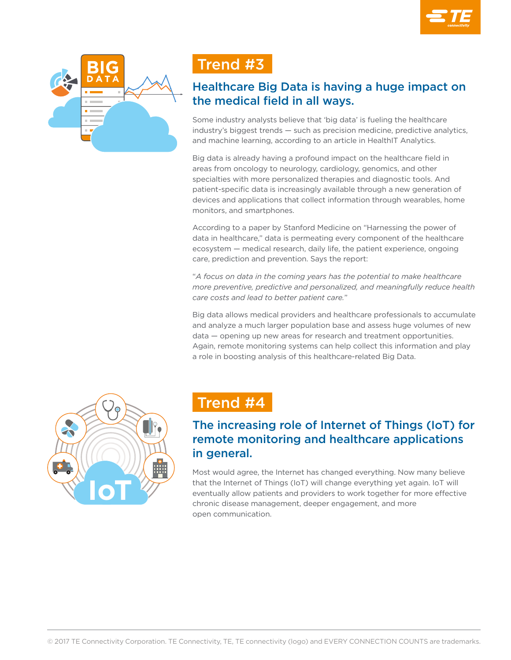



# Trend #3

#### Healthcare Big Data is having a huge impact on the medical field in all ways.

Some industry analysts believe that 'big data' is fueling the healthcare industry's biggest trends — such as precision medicine, predictive analytics, and machine learning, according to an article in HealthIT Analytics.

Big data is already having a profound impact on the healthcare field in areas from oncology to neurology, cardiology, genomics, and other specialties with more personalized therapies and diagnostic tools. And patient-specific data is increasingly available through a new generation of devices and applications that collect information through wearables, home monitors, and smartphones.

According to a paper by Stanford Medicine on "Harnessing the power of data in healthcare," data is permeating every component of the healthcare ecosystem — medical research, daily life, the patient experience, ongoing care, prediction and prevention. Says the report:

"*A focus on data in the coming years has the potential to make healthcare more preventive, predictive and personalized, and meaningfully reduce health care costs and lead to better patient care.*"

Big data allows medical providers and healthcare professionals to accumulate and analyze a much larger population base and assess huge volumes of new data — opening up new areas for research and treatment opportunities. Again, remote monitoring systems can help collect this information and play a role in boosting analysis of this healthcare-related Big Data.



# Trend #4

#### The increasing role of Internet of Things (IoT) for remote monitoring and healthcare applications in general.

Most would agree, the Internet has changed everything. Now many believe that the Internet of Things (IoT) will change everything yet again. IoT will eventually allow patients and providers to work together for more effective chronic disease management, deeper engagement, and more open communication.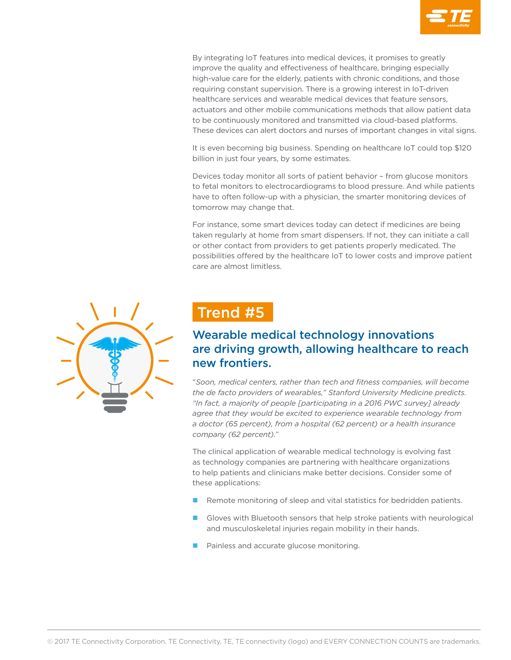

By integrating IoT features into medical devices, it promises to greatly improve the quality and effectiveness of healthcare, bringing especially high-value care for the elderly, patients with chronic conditions, and those requiring constant supervision. There is a growing interest in IoT-driven healthcare services and wearable medical devices that feature sensors, actuators and other mobile communications methods that allow patient data to be continuously monitored and transmitted via cloud-based platforms. These devices can alert doctors and nurses of important changes in vital signs.

It is even becoming big business. Spending on healthcare IoT could top \$120 billion in just four years, by some estimates.

Devices today monitor all sorts of patient behavior – from glucose monitors to fetal monitors to electrocardiograms to blood pressure. And while patients have to often follow-up with a physician, the smarter monitoring devices of tomorrow may change that.

For instance, some smart devices today can detect if medicines are being taken regularly at home from smart dispensers. If not, they can initiate a call or other contact from providers to get patients properly medicated. The possibilities offered by the healthcare IoT to lower costs and improve patient care are almost limitless.



# Trend #5

#### Wearable medical technology innovations are driving growth, allowing healthcare to reach new frontiers.

"*Soon, medical centers, rather than tech and fitness companies, will become the de facto providers of wearables," Stanford University Medicine predicts. "In fact, a majority of people [participating in a 2016 PWC survey] already*  agree that they would be excited to experience wearable technology from *a doctor (65 percent), from a hospital (62 percent) or a health insurance company (62 percent).*"

The clinical application of wearable medical technology is evolving fast as technology companies are partnering with healthcare organizations to help patients and clinicians make better decisions. Consider some of these applications:

- $\blacksquare$  Remote monitoring of sleep and vital statistics for bedridden patients.
- Gloves with Bluetooth sensors that help stroke patients with neurological and musculoskeletal injuries regain mobility in their hands.
- Painless and accurate glucose monitoring.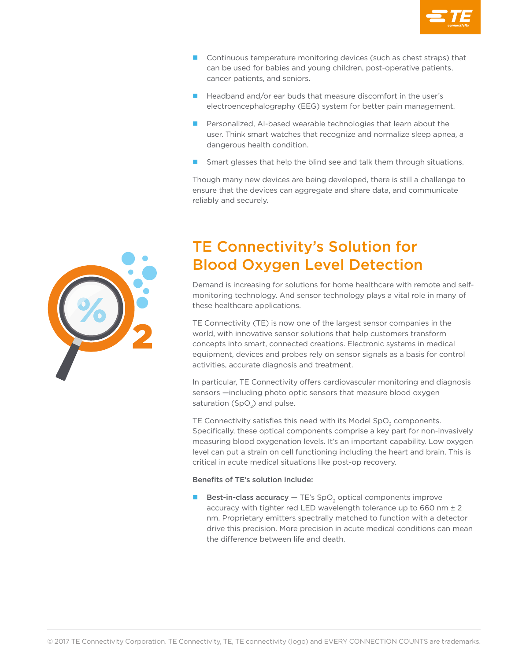

- $\Box$  Continuous temperature monitoring devices (such as chest straps) that can be used for babies and young children, post-operative patients, cancer patients, and seniors.
- $\blacksquare$  Headband and/or ear buds that measure discomfort in the user's electroencephalography (EEG) system for better pain management.
- **n** Personalized, AI-based wearable technologies that learn about the user. Think smart watches that recognize and normalize sleep apnea, a dangerous health condition.
- Smart glasses that help the blind see and talk them through situations.

Though many new devices are being developed, there is still a challenge to ensure that the devices can aggregate and share data, and communicate reliably and securely.

# TE Connectivity's Solution for Blood Oxygen Level Detection

Demand is increasing for solutions for home healthcare with remote and selfmonitoring technology. And sensor technology plays a vital role in many of these healthcare applications.

TE Connectivity (TE) is now one of the largest sensor companies in the world, with innovative sensor solutions that help customers transform concepts into smart, connected creations. Electronic systems in medical equipment, devices and probes rely on sensor signals as a basis for control activities, accurate diagnosis and treatment.

In particular, TE Connectivity offers cardiovascular monitoring and diagnosis sensors —including photo optic sensors that measure blood oxygen saturation (SpO<sub>2</sub>) and pulse.

TE Connectivity satisfies this need with its Model SpO<sub>2</sub> components. Specifically, these optical components comprise a key part for non-invasively measuring blood oxygenation levels. It's an important capability. Low oxygen level can put a strain on cell functioning including the heart and brain. This is critical in acute medical situations like post-op recovery.

#### Benefits of TE's solution include:

**Best-in-class accuracy**  $-$  TE's SpO<sub>2</sub> optical components improve accuracy with tighter red LED wavelength tolerance up to 660 nm ± 2 nm. Proprietary emitters spectrally matched to function with a detector drive this precision. More precision in acute medical conditions can mean the difference between life and death.